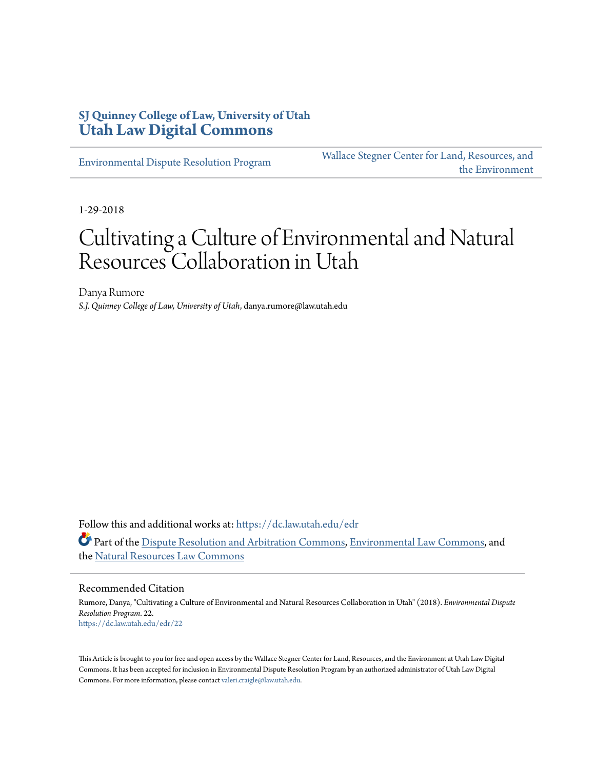## **SJ Quinney College of Law, University of Utah [Utah Law Digital Commons](https://dc.law.utah.edu?utm_source=dc.law.utah.edu%2Fedr%2F22&utm_medium=PDF&utm_campaign=PDFCoverPages)**

[Environmental Dispute Resolution Program](https://dc.law.utah.edu/edr?utm_source=dc.law.utah.edu%2Fedr%2F22&utm_medium=PDF&utm_campaign=PDFCoverPages)

[Wallace Stegner Center for Land, Resources, and](https://dc.law.utah.edu/stegner?utm_source=dc.law.utah.edu%2Fedr%2F22&utm_medium=PDF&utm_campaign=PDFCoverPages) [the Environment](https://dc.law.utah.edu/stegner?utm_source=dc.law.utah.edu%2Fedr%2F22&utm_medium=PDF&utm_campaign=PDFCoverPages)

1-29-2018

## Cultivating a Culture of Environmental and Natural Resources Collaboration in Utah

Danya Rumore *S.J. Quinney College of Law, University of Utah*, danya.rumore@law.utah.edu

Follow this and additional works at: [https://dc.law.utah.edu/edr](https://dc.law.utah.edu/edr?utm_source=dc.law.utah.edu%2Fedr%2F22&utm_medium=PDF&utm_campaign=PDFCoverPages)

Part of the [Dispute Resolution and Arbitration Commons](http://network.bepress.com/hgg/discipline/890?utm_source=dc.law.utah.edu%2Fedr%2F22&utm_medium=PDF&utm_campaign=PDFCoverPages), [Environmental Law Commons](http://network.bepress.com/hgg/discipline/599?utm_source=dc.law.utah.edu%2Fedr%2F22&utm_medium=PDF&utm_campaign=PDFCoverPages), and the [Natural Resources Law Commons](http://network.bepress.com/hgg/discipline/863?utm_source=dc.law.utah.edu%2Fedr%2F22&utm_medium=PDF&utm_campaign=PDFCoverPages)

## Recommended Citation

Rumore, Danya, "Cultivating a Culture of Environmental and Natural Resources Collaboration in Utah" (2018). *Environmental Dispute Resolution Program*. 22. [https://dc.law.utah.edu/edr/22](https://dc.law.utah.edu/edr/22?utm_source=dc.law.utah.edu%2Fedr%2F22&utm_medium=PDF&utm_campaign=PDFCoverPages)

This Article is brought to you for free and open access by the Wallace Stegner Center for Land, Resources, and the Environment at Utah Law Digital Commons. It has been accepted for inclusion in Environmental Dispute Resolution Program by an authorized administrator of Utah Law Digital Commons. For more information, please contact [valeri.craigle@law.utah.edu](mailto:valeri.craigle@law.utah.edu).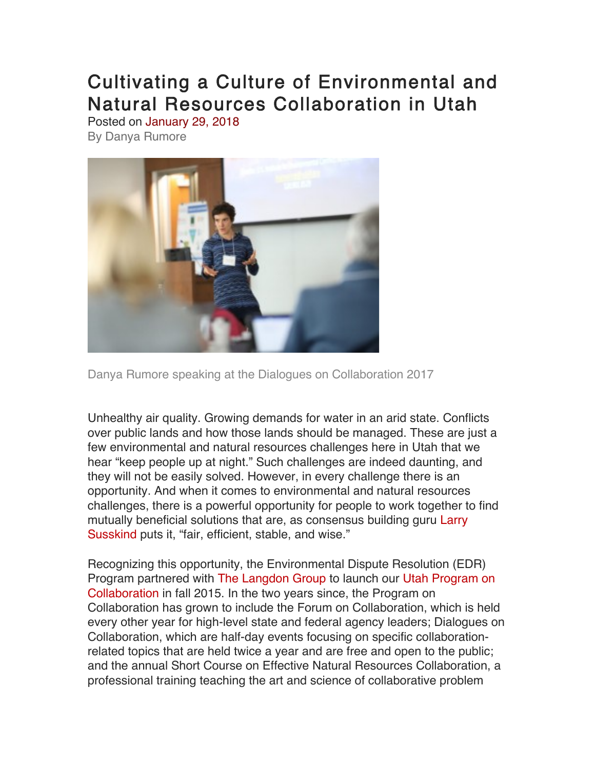## Cultivating a Culture of Environmental and Natural Resources Collaboration in Utah Posted on January 29, 2018

By Danya Rumore



Danya Rumore speaking at the Dialogues on Collaboration 2017

Unhealthy air quality. Growing demands for water in an arid state. Conflicts over public lands and how those lands should be managed. These are just a few environmental and natural resources challenges here in Utah that we hear "keep people up at night." Such challenges are indeed daunting, and they will not be easily solved. However, in every challenge there is an opportunity. And when it comes to environmental and natural resources challenges, there is a powerful opportunity for people to work together to find mutually beneficial solutions that are, as consensus building guru Larry Susskind puts it, "fair, efficient, stable, and wise."

Recognizing this opportunity, the Environmental Dispute Resolution (EDR) Program partnered with The Langdon Group to launch our Utah Program on Collaboration in fall 2015. In the two years since, the Program on Collaboration has grown to include the Forum on Collaboration, which is held every other year for high-level state and federal agency leaders; Dialogues on Collaboration, which are half-day events focusing on specific collaborationrelated topics that are held twice a year and are free and open to the public; and the annual Short Course on Effective Natural Resources Collaboration, a professional training teaching the art and science of collaborative problem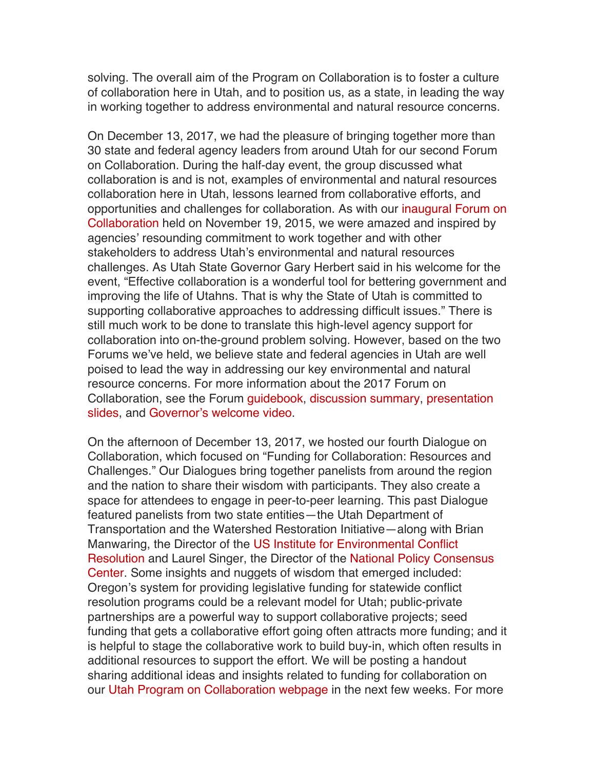solving. The overall aim of the Program on Collaboration is to foster a culture of collaboration here in Utah, and to position us, as a state, in leading the way in working together to address environmental and natural resource concerns.

On December 13, 2017, we had the pleasure of bringing together more than 30 state and federal agency leaders from around Utah for our second Forum on Collaboration. During the half-day event, the group discussed what collaboration is and is not, examples of environmental and natural resources collaboration here in Utah, lessons learned from collaborative efforts, and opportunities and challenges for collaboration. As with our inaugural Forum on Collaboration held on November 19, 2015, we were amazed and inspired by agencies' resounding commitment to work together and with other stakeholders to address Utah's environmental and natural resources challenges. As Utah State Governor Gary Herbert said in his welcome for the event, "Effective collaboration is a wonderful tool for bettering government and improving the life of Utahns. That is why the State of Utah is committed to supporting collaborative approaches to addressing difficult issues." There is still much work to be done to translate this high-level agency support for collaboration into on-the-ground problem solving. However, based on the two Forums we've held, we believe state and federal agencies in Utah are well poised to lead the way in addressing our key environmental and natural resource concerns. For more information about the 2017 Forum on Collaboration, see the Forum guidebook, discussion summary, presentation slides, and Governor's welcome video.

On the afternoon of December 13, 2017, we hosted our fourth Dialogue on Collaboration, which focused on "Funding for Collaboration: Resources and Challenges." Our Dialogues bring together panelists from around the region and the nation to share their wisdom with participants. They also create a space for attendees to engage in peer-to-peer learning. This past Dialogue featured panelists from two state entities—the Utah Department of Transportation and the Watershed Restoration Initiative—along with Brian Manwaring, the Director of the US Institute for Environmental Conflict Resolution and Laurel Singer, the Director of the National Policy Consensus Center. Some insights and nuggets of wisdom that emerged included: Oregon's system for providing legislative funding for statewide conflict resolution programs could be a relevant model for Utah; public-private partnerships are a powerful way to support collaborative projects; seed funding that gets a collaborative effort going often attracts more funding; and it is helpful to stage the collaborative work to build buy-in, which often results in additional resources to support the effort. We will be posting a handout sharing additional ideas and insights related to funding for collaboration on our Utah Program on Collaboration webpage in the next few weeks. For more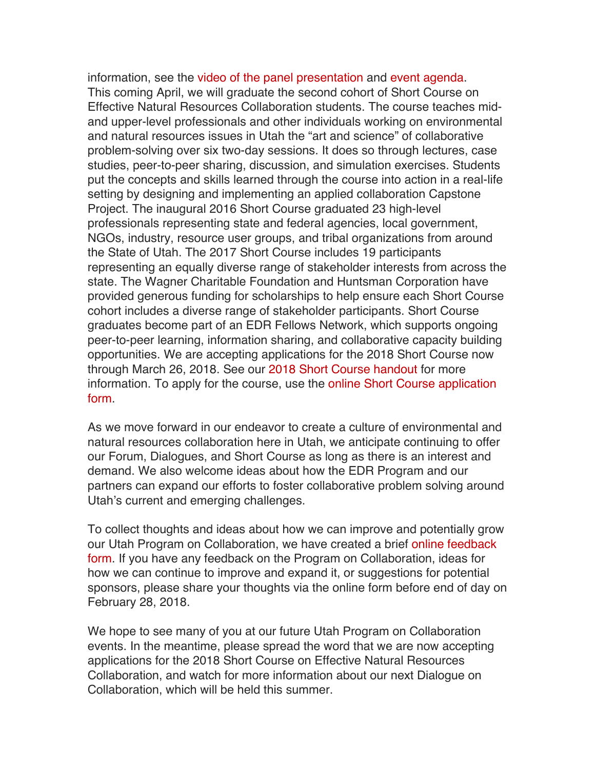information, see the video of the panel presentation and event agenda. This coming April, we will graduate the second cohort of Short Course on Effective Natural Resources Collaboration students. The course teaches midand upper-level professionals and other individuals working on environmental and natural resources issues in Utah the "art and science" of collaborative problem-solving over six two-day sessions. It does so through lectures, case studies, peer-to-peer sharing, discussion, and simulation exercises. Students put the concepts and skills learned through the course into action in a real-life setting by designing and implementing an applied collaboration Capstone Project. The inaugural 2016 Short Course graduated 23 high-level professionals representing state and federal agencies, local government, NGOs, industry, resource user groups, and tribal organizations from around the State of Utah. The 2017 Short Course includes 19 participants representing an equally diverse range of stakeholder interests from across the state. The Wagner Charitable Foundation and Huntsman Corporation have provided generous funding for scholarships to help ensure each Short Course cohort includes a diverse range of stakeholder participants. Short Course graduates become part of an EDR Fellows Network, which supports ongoing peer-to-peer learning, information sharing, and collaborative capacity building opportunities. We are accepting applications for the 2018 Short Course now through March 26, 2018. See our 2018 Short Course handout for more information. To apply for the course, use the online Short Course application form.

As we move forward in our endeavor to create a culture of environmental and natural resources collaboration here in Utah, we anticipate continuing to offer our Forum, Dialogues, and Short Course as long as there is an interest and demand. We also welcome ideas about how the EDR Program and our partners can expand our efforts to foster collaborative problem solving around Utah's current and emerging challenges.

To collect thoughts and ideas about how we can improve and potentially grow our Utah Program on Collaboration, we have created a brief online feedback form. If you have any feedback on the Program on Collaboration, ideas for how we can continue to improve and expand it, or suggestions for potential sponsors, please share your thoughts via the online form before end of day on February 28, 2018.

We hope to see many of you at our future Utah Program on Collaboration events. In the meantime, please spread the word that we are now accepting applications for the 2018 Short Course on Effective Natural Resources Collaboration, and watch for more information about our next Dialogue on Collaboration, which will be held this summer.